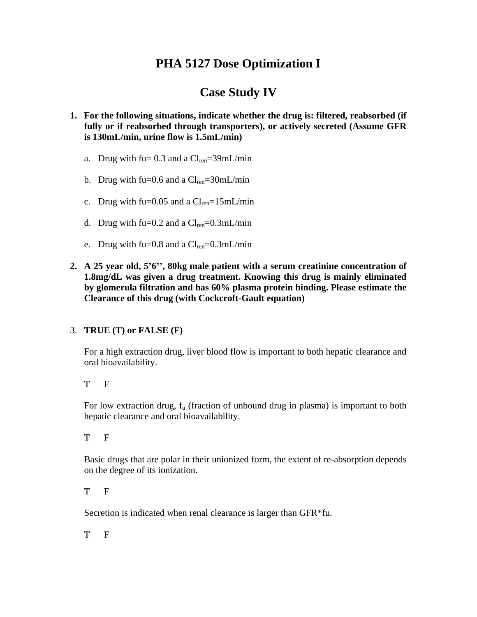## **PHA 5127 Dose Optimization I**

## **Case Study IV**

- **1. For the following situations, indicate whether the drug is: filtered, reabsorbed (if fully or if reabsorbed through transporters), or actively secreted (Assume GFR is 130mL/min, urine flow is 1.5mL/min)** 
	- a. Drug with fu=  $0.3$  and a  $Cl_{ren} = 39$ mL/min
	- b. Drug with fu= $0.6$  and a  $Cl_{ren} = 30$ mL/min
	- c. Drug with fu= $0.05$  and a  $Cl_{ren} = 15$ mL/min
	- d. Drug with fu=0.2 and a  $Cl_{ren} = 0.3$ mL/min
	- e. Drug with fu= $0.8$  and a  $Cl_{ren} = 0.3$ mL/min
- **2. A 25 year old, 5'6'', 80kg male patient with a serum creatinine concentration of 1.8mg/dL was given a drug treatment. Knowing this drug is mainly eliminated by glomerula filtration and has 60% plasma protein binding. Please estimate the Clearance of this drug (with Cockcroft-Gault equation)**

## 3. **TRUE (T) or FALSE (F)**

For a high extraction drug, liver blood flow is important to both hepatic clearance and oral bioavailability.

T F

For low extraction drug,  $f_u$  (fraction of unbound drug in plasma) is important to both hepatic clearance and oral bioavailability.

T F

Basic drugs that are polar in their unionized form, the extent of re-absorption depends on the degree of its ionization.

T F

Secretion is indicated when renal clearance is larger than GFR\*fu.

T F